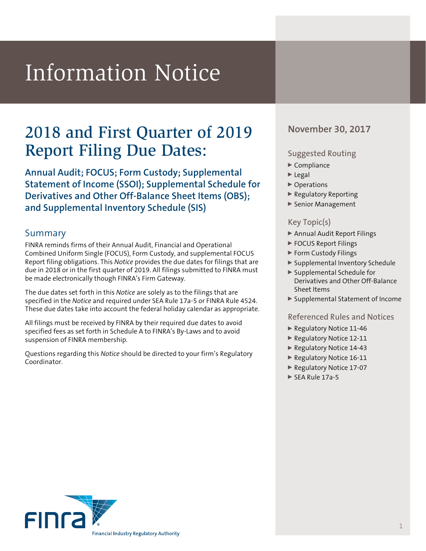# Information Notice

## 2018 and First Quarter of 2019 November 30, 2017 Report Filing Due Dates:

**Annual Audit; FOCUS; Form Custody; Supplemental Statement of Income (SSOI); Supplemental Schedule for Derivatives and Other Off-Balance Sheet Items (OBS); and Supplemental Inventory Schedule (SIS)**

#### Summary

FINRA reminds firms of their Annual Audit, Financial and Operational Combined Uniform Single (FOCUS), Form Custody, and supplemental FOCUS Report filing obligations. This *Notice* provides the due dates for filings that are due in 2018 or in the first quarter of 2019. All filings submitted to FINRA must be made electronically though FINRA's Firm Gateway.

The due dates set forth in this *Notice* are solely as to the filings that are specified in the *Notice* and required under SEA Rule 17a-5 or FINRA Rule 4524. These due dates take into account the federal holiday calendar as appropriate.

All filings must be received by FINRA by their required due dates to avoid specified fees as set forth in Schedule A to FINRA's By-Laws and to avoid suspension of FINRA membership.

Questions regarding this *Notice* should be directed to your firm's Regulatory Coordinator.

#### Suggested Routing

- $\blacktriangleright$  Compliance
- $\blacktriangleright$  Legal
- ▶ Operations
- <sup>0</sup> Regulatory Reporting
- Senior Management

#### Key Topic(s)

- ▶ Annual Audit Report Filings
- ▶ FOCUS Report Filings
- ▶ Form Custody Filings
- <sup>0</sup> Supplemental Inventory Schedule
- <sup>0</sup> Supplemental Schedule for Derivatives and Other Off-Balance Sheet Items
- ▶ Supplemental Statement of Income

#### Referenced Rules and Notices

- ▶ Regulatory Notice 11-46
- ▶ Regulatory Notice 12-11
- ▶ Regulatory Notice 14-43
- Regulatory Notice 16-11
- ▶ Regulatory Notice 17-07
- $\triangleright$  SEA Rule 17a-5

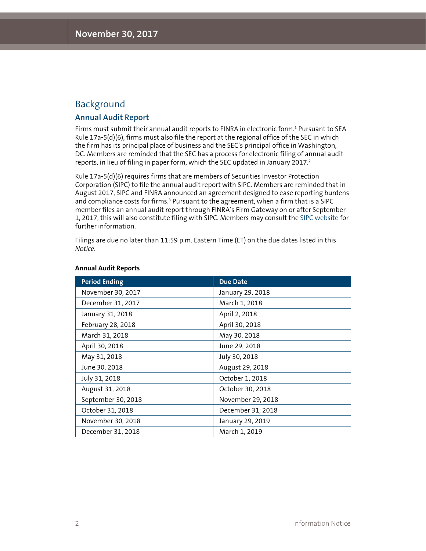### Background

#### **Annual Audit Report**

Firms must submit their annual audit reports to FINRA in electronic form.1 Pursuant to SEA Rule 17a-5(d)(6), firms must also file the report at the regional office of the SEC in which the firm has its principal place of business and the SEC's principal office in Washington, DC. Members are reminded that the SEC has a process for electronic filing of annual audit reports, in lieu of filing in paper form, which the SEC updated in January 2017.<sup>2</sup>

Rule 17a-5(d)(6) requires firms that are members of Securities Investor Protection Corporation (SIPC) to file the annual audit report with SIPC. Members are reminded that in August 2017, SIPC and FINRA announced an agreement designed to ease reporting burdens and compliance costs for firms.<sup>3</sup> Pursuant to the agreement, when a firm that is a SIPC member files an annual audit report through FINRA's Firm Gateway on or after September 1, 2017, this will also constitute filing with SIPC. Members may consult the [SIPC website](https://www.sipc.org/for-members/annual-reports) for further information.

Filings are due no later than 11:59 p.m. Eastern Time (ET) on the due dates listed in this *Notice*.

| <b>Period Ending</b> | <b>Due Date</b>   |
|----------------------|-------------------|
| November 30, 2017    | January 29, 2018  |
| December 31, 2017    | March 1, 2018     |
| January 31, 2018     | April 2, 2018     |
| February 28, 2018    | April 30, 2018    |
| March 31, 2018       | May 30, 2018      |
| April 30, 2018       | June 29, 2018     |
| May 31, 2018         | July 30, 2018     |
| June 30, 2018        | August 29, 2018   |
| July 31, 2018        | October 1, 2018   |
| August 31, 2018      | October 30, 2018  |
| September 30, 2018   | November 29, 2018 |
| October 31, 2018     | December 31, 2018 |
| November 30, 2018    | January 29, 2019  |
| December 31, 2018    | March 1, 2019     |

#### **Annual Audit Reports**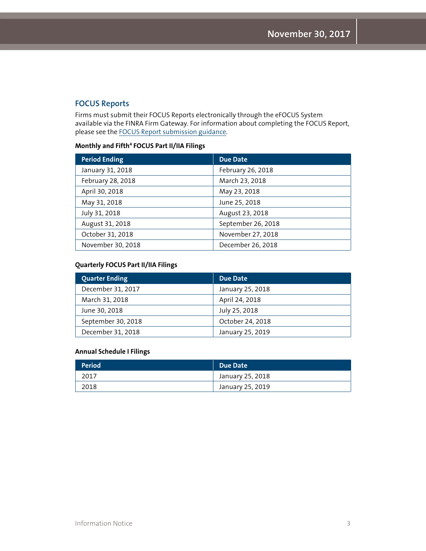#### **FOCUS Reports**

Firms must submit their FOCUS Reports electronically through the eFOCUS System available via the FINRA Firm Gateway. For information about completing the FOCUS Report, please see the [FOCUS Report submission guidance](http://www.finra.org/industry/focus).

#### **Monthly and Fifth4 FOCUS Part II/IIA Filings**

| <b>Period Ending</b> | <b>Due Date</b>    |
|----------------------|--------------------|
| January 31, 2018     | February 26, 2018  |
| February 28, 2018    | March 23, 2018     |
| April 30, 2018       | May 23, 2018       |
| May 31, 2018         | June 25, 2018      |
| July 31, 2018        | August 23, 2018    |
| August 31, 2018      | September 26, 2018 |
| October 31, 2018     | November 27, 2018  |
| November 30, 2018    | December 26, 2018  |

#### **Quarterly FOCUS Part II/IIA Filings**

| <b>Quarter Ending</b> | Due Date         |
|-----------------------|------------------|
| December 31, 2017     | January 25, 2018 |
| March 31, 2018        | April 24, 2018   |
| June 30, 2018         | July 25, 2018    |
| September 30, 2018    | October 24, 2018 |
| December 31, 2018     | January 25, 2019 |

#### **Annual Schedule I Filings**

| <b>Period</b> | Due Date         |
|---------------|------------------|
| 2017          | January 25, 2018 |
| 2018          | January 25, 2019 |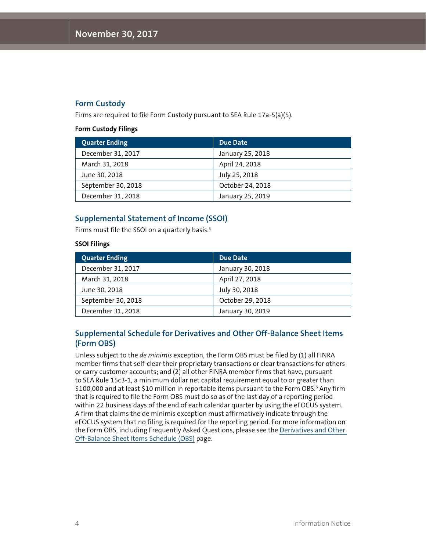#### **Form Custody**

Firms are required to file Form Custody pursuant to SEA Rule 17a-5(a)(5).

#### **Form Custody Filings**

| <b>Quarter Ending</b> | Due Date         |
|-----------------------|------------------|
| December 31, 2017     | January 25, 2018 |
| March 31, 2018        | April 24, 2018   |
| June 30, 2018         | July 25, 2018    |
| September 30, 2018    | October 24, 2018 |
| December 31, 2018     | January 25, 2019 |

#### **Supplemental Statement of Income (SSOI)**

Firms must file the SSOI on a quarterly basis.<sup>5</sup>

#### **SSOI Filings**

| <b>Quarter Ending</b> | Due Date         |
|-----------------------|------------------|
| December 31, 2017     | January 30, 2018 |
| March 31, 2018        | April 27, 2018   |
| June 30, 2018         | July 30, 2018    |
| September 30, 2018    | October 29, 2018 |
| December 31, 2018     | January 30, 2019 |

#### **Supplemental Schedule for Derivatives and Other Off-Balance Sheet Items (Form OBS)**

Unless subject to the *de minimis* exception, the Form OBS must be filed by (1) all FINRA member firms that self-clear their proprietary transactions or clear transactions for others or carry customer accounts; and (2) all other FINRA member firms that have, pursuant to SEA Rule 15c3-1, a minimum dollar net capital requirement equal to or greater than \$100,000 and at least \$10 million in reportable items pursuant to the Form OBS.<sup>6</sup> Any firm that is required to file the Form OBS must do so as of the last day of a reporting period within 22 business days of the end of each calendar quarter by using the eFOCUS system. A firm that claims the de minimis exception must affirmatively indicate through the eFOCUS system that no filing is required for the reporting period. For more information on the Form OBS, including Frequently Asked Questions, please see the [Derivatives and Other](http://www.finra.org/industry/derivatives-and-other-balance-sheet-items-obs)  [Off-Balance Sheet Items Schedule \(OBS\)](http://www.finra.org/industry/derivatives-and-other-balance-sheet-items-obs) page.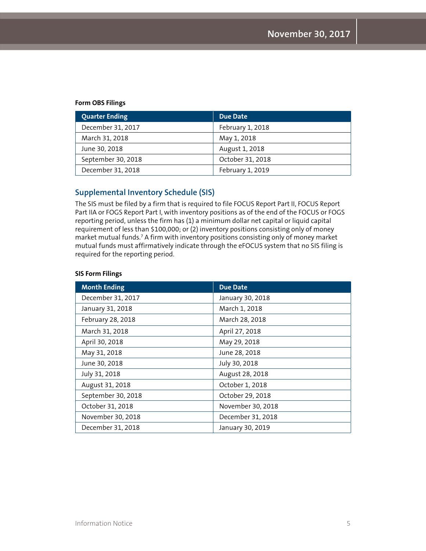#### **Form OBS Filings**

| <b>Quarter Ending</b> | Due Date         |
|-----------------------|------------------|
| December 31, 2017     | February 1, 2018 |
| March 31, 2018        | May 1, 2018      |
| June 30, 2018         | August 1, 2018   |
| September 30, 2018    | October 31, 2018 |
| December 31, 2018     | February 1, 2019 |

#### **Supplemental Inventory Schedule (SIS)**

The SIS must be filed by a firm that is required to file FOCUS Report Part II, FOCUS Report Part IIA or FOGS Report Part I, with inventory positions as of the end of the FOCUS or FOGS reporting period, unless the firm has (1) a minimum dollar net capital or liquid capital requirement of less than \$100,000; or (2) inventory positions consisting only of money market mutual funds.7 A firm with inventory positions consisting only of money market mutual funds must affirmatively indicate through the eFOCUS system that no SIS filing is required for the reporting period.

#### **SIS Form Filings**

| <b>Month Ending</b> | Due Date          |
|---------------------|-------------------|
| December 31, 2017   | January 30, 2018  |
| January 31, 2018    | March 1, 2018     |
| February 28, 2018   | March 28, 2018    |
| March 31, 2018      | April 27, 2018    |
| April 30, 2018      | May 29, 2018      |
| May 31, 2018        | June 28, 2018     |
| June 30, 2018       | July 30, 2018     |
| July 31, 2018       | August 28, 2018   |
| August 31, 2018     | October 1, 2018   |
| September 30, 2018  | October 29, 2018  |
| October 31, 2018    | November 30, 2018 |
| November 30, 2018   | December 31, 2018 |
| December 31, 2018   | January 30, 2019  |